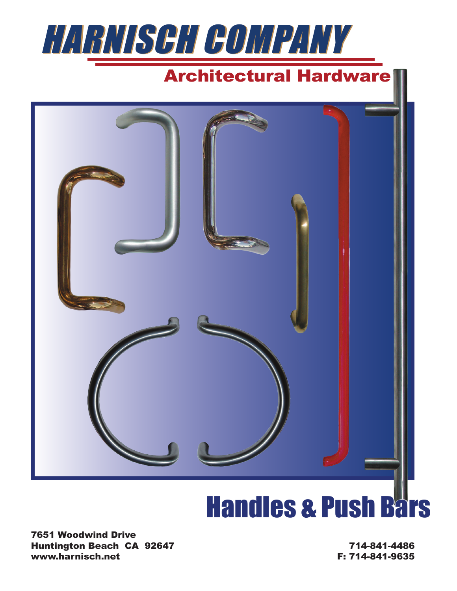

## Architectural Hardware



# **Handles & Push Bars**

7651 Woodwind Drive Huntington Beach CA 92647 www.harnisch.net

714-841-4486 F: 714-841-9635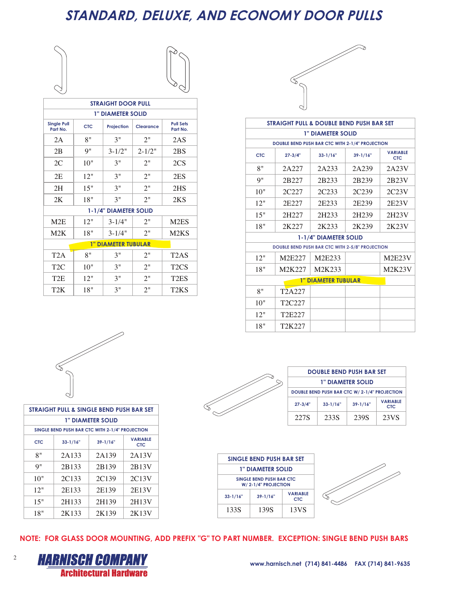### **STANDARD, DELUXE, AND ECONOMY DOOR PULLS**

|                          | $\frown$<br>$\scriptstyle\diagup$ |
|--------------------------|-----------------------------------|
|                          |                                   |
| $\sim$                   |                                   |
| $\overline{\phantom{a}}$ |                                   |

| <b>STRAIGHT DOOR PULL</b>      |                                              |                            |            |                               |  |  |  |
|--------------------------------|----------------------------------------------|----------------------------|------------|-------------------------------|--|--|--|
|                                |                                              | <b>1" DIAMETER SOLID</b>   |            |                               |  |  |  |
| <b>Single Pull</b><br>Part No. | <b>CTC</b><br>Projection<br><b>Clearance</b> |                            |            |                               |  |  |  |
| 2A                             | 8"                                           | 3"                         | 2"         | 2AS                           |  |  |  |
| 2B                             | 9"                                           | $3 - 1/2"$                 | $2 - 1/2"$ | 2BS                           |  |  |  |
| 2C                             | 10"                                          | 3"                         | 2"         | 2CS                           |  |  |  |
| 2E                             | 12"                                          | 3"                         | 2"         | 2ES                           |  |  |  |
| 2H                             | 15"                                          | 3"                         | 2"         | 2HS                           |  |  |  |
| 2K                             | 18"                                          | 3"                         | 2"         | 2KS                           |  |  |  |
|                                |                                              | 1-1/4" DIAMETER SOLID      |            |                               |  |  |  |
| M2E                            | 12"                                          | $3 - 1/4"$                 | 2"         | M <sub>2</sub> ES             |  |  |  |
| M2K                            | 18"                                          | $3 - 1/4"$                 | 2"         | M <sub>2</sub> K <sub>S</sub> |  |  |  |
|                                |                                              | <b>1" DIAMETER TUBULAR</b> |            |                               |  |  |  |
| T <sub>2</sub> A               | 8"                                           | 3"                         | 2"         | T2AS                          |  |  |  |
| T <sub>2</sub> C               | 10"                                          | 3"                         | 2"         | T <sub>2</sub> CS             |  |  |  |
| T <sub>2</sub> E               | 12"                                          | 3"                         | 2"         | T <sub>2</sub> ES             |  |  |  |
| T2K                            | 18"                                          | 3"                         | 2"         | T2KS                          |  |  |  |

![](_page_1_Picture_3.jpeg)

|            | <b>STRAIGHT PULL &amp; DOUBLE BEND PUSH BAR SET</b>    |                            |                   |                                      |  |  |
|------------|--------------------------------------------------------|----------------------------|-------------------|--------------------------------------|--|--|
|            |                                                        | <b>1" DIAMETER SOLID</b>   |                   |                                      |  |  |
|            | DOUBLE BEND PUSH BAR CTC WITH 2-1/4" PROJECTION        |                            |                   |                                      |  |  |
| <b>CTC</b> | $27 - 3/4"$                                            | $33 - 1/16"$               | $39 - 1/16"$      | <b><i>VARIABLE</i></b><br><b>CTC</b> |  |  |
| 8"         | 2A227                                                  | 2A233                      | 2A239             | 2A23V                                |  |  |
| 9"         | 2B227                                                  | 2B233                      | 2B <sub>239</sub> | 2B23V                                |  |  |
| 10"        | 2C227                                                  | 2C <sub>233</sub>          | 2C <sub>239</sub> | 2C23V                                |  |  |
| 12"        | 2E227                                                  | 2E233                      | 2E239             | 2E23V                                |  |  |
| 15"        | 2H227                                                  | 2H233                      | 2H239             | 2H23V                                |  |  |
| 18"        | 2K227                                                  | 2K233                      | 2K239             | 2K23V                                |  |  |
|            |                                                        | 1-1/4" DIAMETER SOLID      |                   |                                      |  |  |
|            | <b>DOUBLE BEND PUSH BAR CTC WITH 2-5/8" PROJECTION</b> |                            |                   |                                      |  |  |
| 12"        | M2E227                                                 | M2E233                     |                   | M <sub>2</sub> E <sub>23</sub> V     |  |  |
| 18"        | M2K227                                                 | M2K233                     |                   | <b>M2K23V</b>                        |  |  |
|            |                                                        | <b>1" DIAMETER TUBULAR</b> |                   |                                      |  |  |
| 8"         | T <sub>2</sub> A <sub>227</sub>                        |                            |                   |                                      |  |  |
| 10"        | T2C227                                                 |                            |                   |                                      |  |  |
| 12"        | T <sub>2</sub> E <sub>227</sub>                        |                            |                   |                                      |  |  |
| 18"        | T2K227                                                 |                            |                   |                                      |  |  |

![](_page_1_Picture_5.jpeg)

| STRAIGHT PULL & SINGLE BEND PUSH BAR SET |                                                 |                          |                               |  |  |
|------------------------------------------|-------------------------------------------------|--------------------------|-------------------------------|--|--|
|                                          |                                                 | <b>1" DIAMETER SOLID</b> |                               |  |  |
|                                          | SINGLE BEND PUSH BAR CTC WITH 2-1/4" PROJECTION |                          |                               |  |  |
| <b>CTC</b>                               | $33 - 1/16"$                                    | $39 - 1/16"$             | <b>VARIABLE</b><br><b>CTC</b> |  |  |
| 8"                                       | 2A133                                           | 2A139                    | 2A13V                         |  |  |
| 9"                                       | 2B133                                           | 2B139                    | 2B13V                         |  |  |
| 10"                                      | 2C133                                           | 2C <sub>139</sub>        | 2C <sub>13</sub> V            |  |  |
| 12"                                      | 2E133                                           | 2E139                    | 2E13V                         |  |  |
| 15"                                      | 2H133                                           | 2H139                    | 2H13V                         |  |  |
| 18"                                      | 2K133                                           | 2K139                    | 2K13V                         |  |  |

![](_page_1_Figure_7.jpeg)

|   | <b>DOUBLE BEND PUSH BAR SET</b>                                              |      |      |      |  |  |  |  |
|---|------------------------------------------------------------------------------|------|------|------|--|--|--|--|
| ᠈ | <b>1" DIAMETER SOLID</b>                                                     |      |      |      |  |  |  |  |
|   | DOUBLE BEND PUSH BAR CTC W/ 2-1/4" PROJECTION                                |      |      |      |  |  |  |  |
|   | <b>VARIABLE</b><br>$39 - 1/16"$<br>$33 - 1/16"$<br>$27 - 3/4"$<br><b>CTC</b> |      |      |      |  |  |  |  |
|   | 227S                                                                         | 233S | 239S | 23VS |  |  |  |  |

![](_page_1_Figure_9.jpeg)

![](_page_1_Picture_10.jpeg)

**NOTE: FOR GLASS DOOR MOUNTING, ADD PREFIX "G" TO PART NUMBER. EXCEPTION: SINGLE BEND PUSH BARS**

![](_page_1_Picture_12.jpeg)

2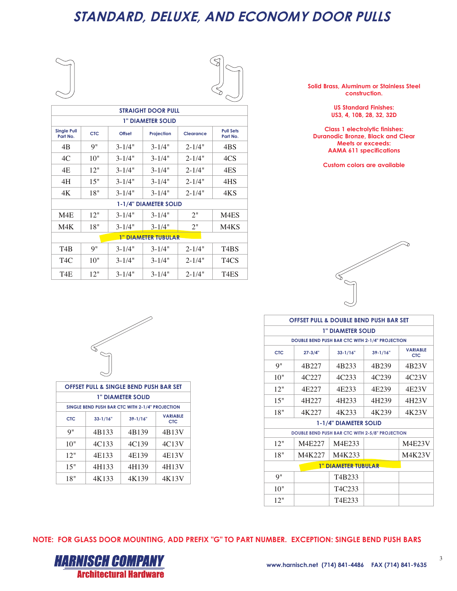#### **STANDARD, DELUXE, AND ECONOMY DOOR PULLS**

![](_page_2_Picture_1.jpeg)

 $\sim$ 

|                                | <b><i>STRAIGHT DOOR PULL</i></b> |               |                            |            |                              |  |  |
|--------------------------------|----------------------------------|---------------|----------------------------|------------|------------------------------|--|--|
|                                |                                  |               | <b>1" DIAMETER SOLID</b>   |            |                              |  |  |
| <b>Single Pull</b><br>Part No. | <b>CTC</b>                       | <b>Offset</b> | Projection                 | Clearance  | <b>Pull Sets</b><br>Part No. |  |  |
| 4B                             | 9"                               | $3 - 1/4"$    | $3 - 1/4"$                 | $2 - 1/4"$ | 4BS                          |  |  |
| 4C                             | 10"                              | $3 - 1/4"$    | $3 - 1/4"$                 | $2 - 1/4"$ | 4CS                          |  |  |
| 4E                             | 12"                              | $3 - 1/4"$    | $3 - 1/4"$                 | $2 - 1/4"$ | 4ES                          |  |  |
| 4H                             | 15"                              | $3 - 1/4"$    | $3 - 1/4"$                 | $2 - 1/4"$ | 4HS                          |  |  |
| 4K                             | 18"                              | $3 - 1/4"$    | $3 - 1/4"$                 | $2 - 1/4"$ | 4KS                          |  |  |
|                                |                                  |               | 1-1/4" DIAMETER SOLID      |            |                              |  |  |
| M4E                            | 12"                              | $3 - 1/4"$    | $3 - 1/4"$                 | 2"         | M4ES                         |  |  |
| M4K                            | 18"                              | $3 - 1/4"$    | $3 - 1/4"$                 | 2"         | M4KS                         |  |  |
|                                |                                  |               | <b>1" DIAMETER TUBULAR</b> |            |                              |  |  |
| T4B                            | Q''                              | $3 - 1/4"$    | $3 - 1/4"$                 | $2 - 1/4"$ | T4BS                         |  |  |
| T <sub>4</sub> C               | 10"                              | $3 - 1/4"$    | $3 - 1/4"$                 | $2 - 1/4"$ | T <sub>4</sub> CS            |  |  |
| T4E                            | 12"                              | $3 - 1/4"$    | $3 - 1/4"$                 | $2 - 1/4"$ | T4ES                         |  |  |

**Solid Brass, Aluminum or Stainless Steel construction.**

> **US Standard Finishes: US3, 4, 10B, 28, 32, 32D**

**Class 1 electrolytic finishes: Duranodic Bronze, Black and Clear Meets or exceeds: AAMA 611 specifications**

**Custom colors are available**

![](_page_2_Picture_8.jpeg)

| <b>OFFSET PULL &amp; DOUBLE BEND PUSH BAR SET</b> |                                                 |                                 |                   |                                      |  |  |
|---------------------------------------------------|-------------------------------------------------|---------------------------------|-------------------|--------------------------------------|--|--|
|                                                   |                                                 | <b>1" DIAMETER SOLID</b>        |                   |                                      |  |  |
|                                                   | DOUBLE BEND PUSH BAR CTC WITH 2-1/4" PROJECTION |                                 |                   |                                      |  |  |
| <b>CTC</b>                                        | $27 - 3/4"$                                     | $33 - 1/16"$                    | $39 - 1/16"$      | <b><i>VARIABLE</i></b><br><b>CTC</b> |  |  |
| 9"                                                | 4B227                                           | 4B233                           | 4B239             | 4B23V                                |  |  |
| 10"                                               | 4C227                                           | 4C <sub>233</sub>               | 4C <sub>239</sub> | 4C23V                                |  |  |
| 12"                                               | 4E227                                           | 4E <sub>2</sub> 33              | 4E239             | 4E23V                                |  |  |
| 15"                                               | 4H227                                           | 4H233                           | 4H239             | 4H23V                                |  |  |
| 18"                                               | 4K227                                           | 4K233                           | 4K239             | 4K23V                                |  |  |
|                                                   |                                                 | 1-1/4" DIAMETER SOLID           |                   |                                      |  |  |
|                                                   | DOUBLE BEND PUSH BAR CTC WITH 2-5/8" PROJECTION |                                 |                   |                                      |  |  |
| 12"                                               | M4E227                                          | M4E233                          |                   | M4E23V                               |  |  |
| 18"                                               | M4K227                                          | M4K233                          |                   | <b>M4K23V</b>                        |  |  |
| <b>1" DIAMETER TUBULAR</b>                        |                                                 |                                 |                   |                                      |  |  |
| <b>9"</b>                                         |                                                 | T <sub>4</sub> B <sub>233</sub> |                   |                                      |  |  |
| 10"                                               |                                                 | T <sub>4</sub> C <sub>233</sub> |                   |                                      |  |  |
| 12"                                               |                                                 | T4E233                          |                   |                                      |  |  |

![](_page_2_Picture_10.jpeg)

|     | <b>OFFSET PULL &amp; SINGLE BEND PUSH BAR SET</b> |                                                 |                               |  |  |  |  |
|-----|---------------------------------------------------|-------------------------------------------------|-------------------------------|--|--|--|--|
|     |                                                   | <b>1" DIAMETER SOLID</b>                        |                               |  |  |  |  |
|     |                                                   | SINGLE BEND PUSH BAR CTC WITH 2-1/4" PROJECTION |                               |  |  |  |  |
| CTC | $33 - 1/16"$                                      | $39 - 1/16"$                                    | <b>VARIABLE</b><br><b>CTC</b> |  |  |  |  |
| g"  | 4B133                                             | 4B139                                           | 4B13V                         |  |  |  |  |
| 10" | 4C133                                             | 4C139                                           | 4C13V                         |  |  |  |  |
| 12" | 4E133                                             | 4E139                                           | 4E13V                         |  |  |  |  |
| 15" | 4H133                                             | 4H139                                           | 4H13V                         |  |  |  |  |
| 18" | 4K133                                             | 4K139                                           | 4K13V                         |  |  |  |  |

**NOTE: FOR GLASS DOOR MOUNTING, ADD PREFIX "G" TO PART NUMBER. EXCEPTION: SINGLE BEND PUSH BARS**

![](_page_2_Picture_13.jpeg)

3